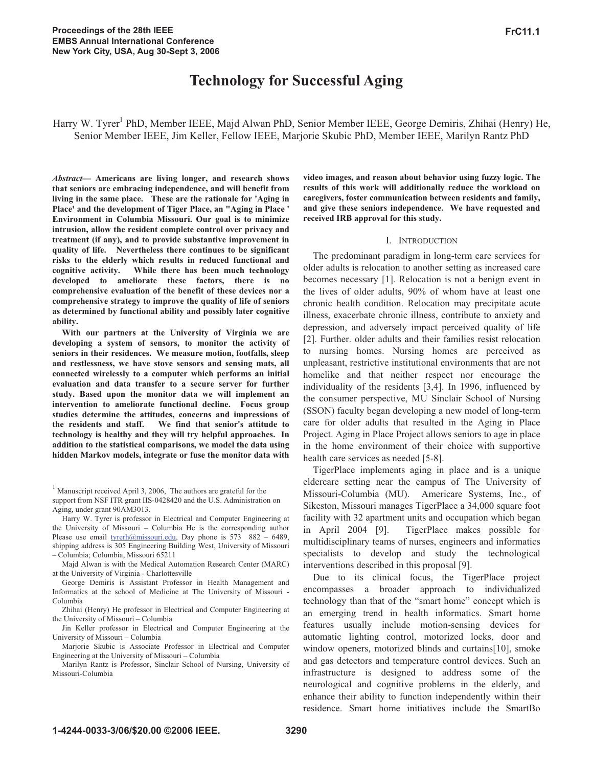# **Technology for Successful Aging**

Harry W. Tyrer<sup>1</sup> PhD, Member IEEE, Majd Alwan PhD, Senior Member IEEE, George Demiris, Zhihai (Henry) He, Senior Member IEEE, Jim Keller, Fellow IEEE, Marjorie Skubic PhD, Member IEEE, Marilyn Rantz PhD

*Abstract***— Americans are living longer, and research shows that seniors are embracing independence, and will benefit from living in the same place. These are the rationale for 'Aging in Place' and the development of Tiger Place, an "Aging in Place ' Environment in Columbia Missouri. Our goal is to minimize intrusion, allow the resident complete control over privacy and treatment (if any), and to provide substantive improvement in quality of life. Nevertheless there continues to be significant risks to the elderly which results in reduced functional and cognitive activity. While there has been much technology developed to ameliorate these factors, there is no comprehensive evaluation of the benefit of these devices nor a comprehensive strategy to improve the quality of life of seniors as determined by functional ability and possibly later cognitive ability.**

**With our partners at the University of Virginia we are developing a system of sensors, to monitor the activity of seniors in their residences. We measure motion, footfalls, sleep and restlessness, we have stove sensors and sensing mats, all connected wirelessly to a computer which performs an initial evaluation and data transfer to a secure server for further study. Based upon the monitor data we will implement an intervention to ameliorate functional decline. Focus group studies determine the attitudes, concerns and impressions of the residents and staff. We find that senior's attitude to technology is healthy and they will try helpful approaches. In addition to the statistical comparisons, we model the data using hidden Markov models, integrate or fuse the monitor data with**  **video images, and reason about behavior using fuzzy logic. The results of this work will additionally reduce the workload on caregivers, foster communication between residents and family, and give these seniors independence. We have requested and received IRB approval for this study.** 

#### I. INTRODUCTION

The predominant paradigm in long-term care services for older adults is relocation to another setting as increased care becomes necessary [1]. Relocation is not a benign event in the lives of older adults, 90% of whom have at least one chronic health condition. Relocation may precipitate acute illness, exacerbate chronic illness, contribute to anxiety and depression, and adversely impact perceived quality of life [2]. Further. older adults and their families resist relocation to nursing homes. Nursing homes are perceived as unpleasant, restrictive institutional environments that are not homelike and that neither respect nor encourage the individuality of the residents [3,4]. In 1996, influenced by the consumer perspective, MU Sinclair School of Nursing (SSON) faculty began developing a new model of long-term care for older adults that resulted in the Aging in Place Project. Aging in Place Project allows seniors to age in place in the home environment of their choice with supportive health care services as needed [5-8].

TigerPlace implements aging in place and is a unique eldercare setting near the campus of The University of Missouri-Columbia (MU). Americare Systems, Inc., of Sikeston, Missouri manages TigerPlace a 34,000 square foot facility with 32 apartment units and occupation which began in April 2004 [9]. TigerPlace makes possible for multidisciplinary teams of nurses, engineers and informatics specialists to develop and study the technological interventions described in this proposal [9].

Due to its clinical focus, the TigerPlace project encompasses a broader approach to individualized technology than that of the "smart home" concept which is an emerging trend in health informatics. Smart home features usually include motion-sensing devices for automatic lighting control, motorized locks, door and window openers, motorized blinds and curtains[10], smoke and gas detectors and temperature control devices. Such an infrastructure is designed to address some of the neurological and cognitive problems in the elderly, and enhance their ability to function independently within their residence. Smart home initiatives include the SmartBo

<sup>1</sup> Manuscript received April 3, 2006, The authors are grateful for the support from NSF ITR grant IIS-0428420 and the U.S. Administration on Aging, under grant 90AM3013.

Harry W. Tyrer is professor in Electrical and Computer Engineering at the University of Missouri – Columbia He is the corresponding author Please use email tyrerh@missouri.edu, Day phone is 573 882 – 6489, shipping address is 305 Engineering Building West, University of Missouri – Columbia; Columbia, Missouri 65211

Majd Alwan is with the Medical Automation Research Center (MARC) at the University of Virginia - Charlottesville

George Demiris is Assistant Professor in Health Management and Informatics at the school of Medicine at The University of Missouri - Columbia

Zhihai (Henry) He professor in Electrical and Computer Engineering at the University of Missouri – Columbia

Jin Keller professor in Electrical and Computer Engineering at the University of Missouri – Columbia

Marjorie Skubic is Associate Professor in Electrical and Computer Engineering at the University of Missouri – Columbia

Marilyn Rantz is Professor, Sinclair School of Nursing, University of Missouri-Columbia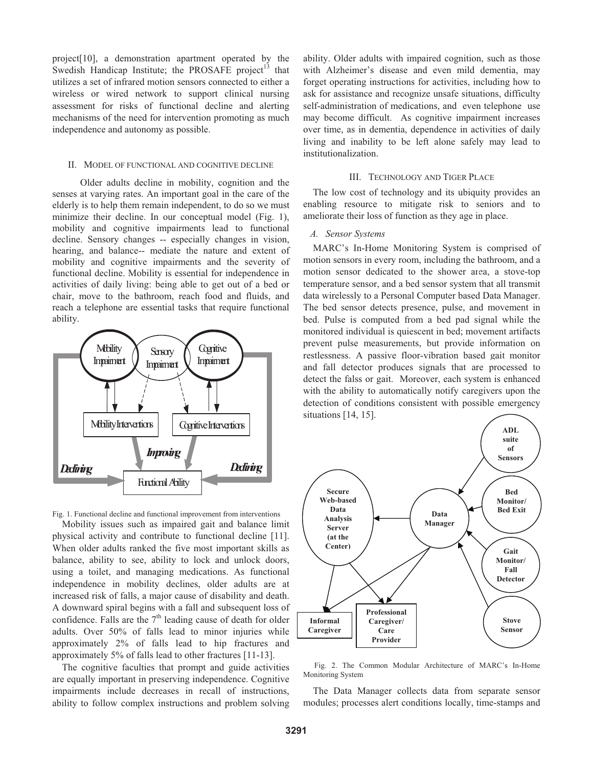project[10], a demonstration apartment operated by the Swedish Handicap Institute; the PROSAFE project<sup>13</sup> that utilizes a set of infrared motion sensors connected to either a wireless or wired network to support clinical nursing assessment for risks of functional decline and alerting mechanisms of the need for intervention promoting as much independence and autonomy as possible.

#### II. MODEL OF FUNCTIONAL AND COGNITIVE DECLINE

Older adults decline in mobility, cognition and the senses at varying rates. An important goal in the care of the elderly is to help them remain independent, to do so we must minimize their decline. In our conceptual model (Fig. 1), mobility and cognitive impairments lead to functional decline. Sensory changes -- especially changes in vision, hearing, and balance-- mediate the nature and extent of mobility and cognitive impairments and the severity of functional decline. Mobility is essential for independence in activities of daily living: being able to get out of a bed or chair, move to the bathroom, reach food and fluids, and reach a telephone are essential tasks that require functional ability.



Fig. 1. Functional decline and functional improvement from interventions

Mobility issues such as impaired gait and balance limit physical activity and contribute to functional decline [11]. When older adults ranked the five most important skills as balance, ability to see, ability to lock and unlock doors, using a toilet, and managing medications. As functional independence in mobility declines, older adults are at increased risk of falls, a major cause of disability and death. A downward spiral begins with a fall and subsequent loss of confidence. Falls are the  $7<sup>th</sup>$  leading cause of death for older adults. Over 50% of falls lead to minor injuries while approximately 2% of falls lead to hip fractures and approximately 5% of falls lead to other fractures [11-13].

The cognitive faculties that prompt and guide activities are equally important in preserving independence. Cognitive impairments include decreases in recall of instructions, ability to follow complex instructions and problem solving ability. Older adults with impaired cognition, such as those with Alzheimer's disease and even mild dementia, may forget operating instructions for activities, including how to ask for assistance and recognize unsafe situations, difficulty self-administration of medications, and even telephone use may become difficult. As cognitive impairment increases over time, as in dementia, dependence in activities of daily living and inability to be left alone safely may lead to institutionalization.

### III. TECHNOLOGY AND TIGER PLACE

The low cost of technology and its ubiquity provides an enabling resource to mitigate risk to seniors and to ameliorate their loss of function as they age in place.

#### *A. Sensor Systems*

MARC's In-Home Monitoring System is comprised of motion sensors in every room, including the bathroom, and a motion sensor dedicated to the shower area, a stove-top b temperature sensor, and a bed sensor system that all transmit data wirelessly to a Personal Computer based Data Manager. The bed sensor detects presence, pulse, and movement in bed. Pulse is computed from a bed pad signal while the monitored individual is quiescent in bed; movement artifacts prevent pulse measurements, but provide information on restlessness. A passive floor-vibration based gait monitor and fall detector produces signals that are processed to detect the falss or gait. Moreover, each system is enhanced with the ability to automatically notify caregivers upon the detection of conditions consistent with possible emergency situations [14, 15].



Fig. 2. The Common Modular Architecture of MARC's In-Home Monitoring System

The Data Manager collects data from separate sensor modules; processes alert conditions locally, time-stamps and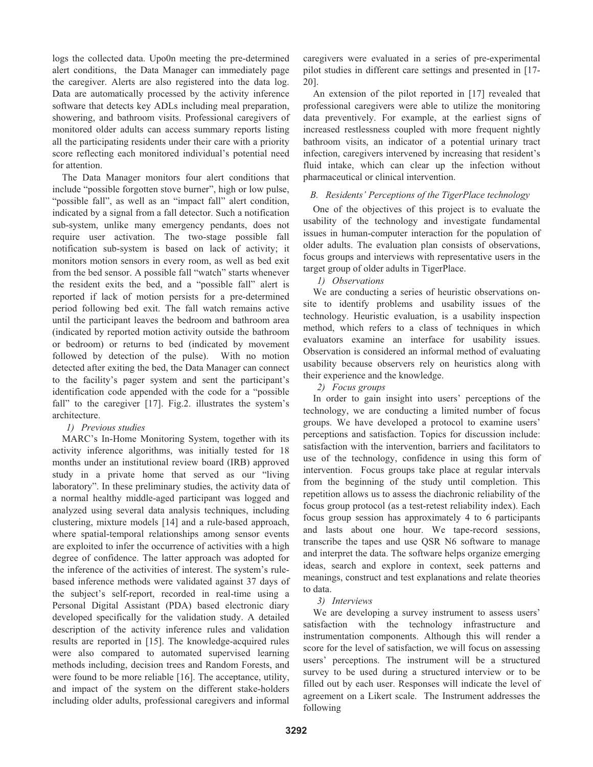logs the collected data. Upo0n meeting the pre-determined alert conditions, the Data Manager can immediately page the caregiver. Alerts are also registered into the data log. Data are automatically processed by the activity inference software that detects key ADLs including meal preparation, showering, and bathroom visits. Professional caregivers of monitored older adults can access summary reports listing all the participating residents under their care with a priority score reflecting each monitored individual's potential need for attention.

The Data Manager monitors four alert conditions that include "possible forgotten stove burner", high or low pulse, "possible fall", as well as an "impact fall" alert condition, indicated by a signal from a fall detector. Such a notification sub-system, unlike many emergency pendants, does not require user activation. The two-stage possible fall notification sub-system is based on lack of activity; it monitors motion sensors in every room, as well as bed exit from the bed sensor. A possible fall "watch" starts whenever the resident exits the bed, and a "possible fall" alert is reported if lack of motion persists for a pre-determined period following bed exit. The fall watch remains active until the participant leaves the bedroom and bathroom area (indicated by reported motion activity outside the bathroom or bedroom) or returns to bed (indicated by movement followed by detection of the pulse). With no motion detected after exiting the bed, the Data Manager can connect to the facility's pager system and sent the participant's identification code appended with the code for a "possible fall" to the caregiver [17]. Fig.2. illustrates the system's architecture.

### *1) Previous studies*

MARC's In-Home Monitoring System, together with its activity inference algorithms, was initially tested for 18 months under an institutional review board (IRB) approved study in a private home that served as our "living laboratory". In these preliminary studies, the activity data of a normal healthy middle-aged participant was logged and analyzed using several data analysis techniques, including clustering, mixture models [14] and a rule-based approach, where spatial-temporal relationships among sensor events are exploited to infer the occurrence of activities with a high degree of confidence. The latter approach was adopted for the inference of the activities of interest. The system's rulebased inference methods were validated against 37 days of the subject's self-report, recorded in real-time using a Personal Digital Assistant (PDA) based electronic diary developed specifically for the validation study. A detailed description of the activity inference rules and validation results are reported in [15]. The knowledge-acquired rules were also compared to automated supervised learning methods including, decision trees and Random Forests, and were found to be more reliable [16]. The acceptance, utility, and impact of the system on the different stake-holders including older adults, professional caregivers and informal

caregivers were evaluated in a series of pre-experimental pilot studies in different care settings and presented in [17- 20].

An extension of the pilot reported in [17] revealed that professional caregivers were able to utilize the monitoring data preventively. For example, at the earliest signs of increased restlessness coupled with more frequent nightly bathroom visits, an indicator of a potential urinary tract infection, caregivers intervened by increasing that resident's fluid intake, which can clear up the infection without pharmaceutical or clinical intervention.

# *B. Residents' Perceptions of the TigerPlace technology*

One of the objectives of this project is to evaluate the usability of the technology and investigate fundamental issues in human-computer interaction for the population of older adults. The evaluation plan consists of observations, focus groups and interviews with representative users in the target group of older adults in TigerPlace.

# *1) Observations*

We are conducting a series of heuristic observations onsite to identify problems and usability issues of the technology. Heuristic evaluation, is a usability inspection method, which refers to a class of techniques in which evaluators examine an interface for usability issues. Observation is considered an informal method of evaluating usability because observers rely on heuristics along with their experience and the knowledge.

### *2) Focus groups*

In order to gain insight into users' perceptions of the technology, we are conducting a limited number of focus groups. We have developed a protocol to examine users' perceptions and satisfaction. Topics for discussion include: satisfaction with the intervention, barriers and facilitators to use of the technology, confidence in using this form of intervention. Focus groups take place at regular intervals from the beginning of the study until completion. This repetition allows us to assess the diachronic reliability of the focus group protocol (as a test-retest reliability index). Each focus group session has approximately 4 to 6 participants and lasts about one hour. We tape-record sessions, transcribe the tapes and use QSR N6 software to manage and interpret the data. The software helps organize emerging ideas, search and explore in context, seek patterns and meanings, construct and test explanations and relate theories to data.

### *3) Interviews*

We are developing a survey instrument to assess users' satisfaction with the technology infrastructure and instrumentation components. Although this will render a score for the level of satisfaction, we will focus on assessing users' perceptions. The instrument will be a structured survey to be used during a structured interview or to be filled out by each user. Responses will indicate the level of agreement on a Likert scale. The Instrument addresses the following